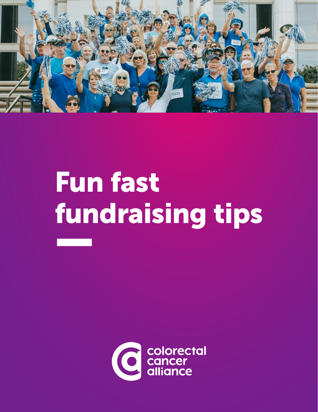

# Fun fast fundraising tips

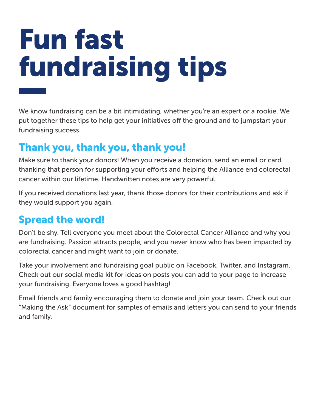## Fun fast fundraising tips

We know fundraising can be a bit intimidating, whether you're an expert or a rookie. We put together these tips to help get your initiatives off the ground and to jumpstart your fundraising success.

### Thank you, thank you, thank you!

Make sure to thank your donors! When you receive a donation, send an email or card thanking that person for supporting your efforts and helping the Alliance end colorectal cancer within our lifetime. Handwritten notes are very powerful.

If you received donations last year, thank those donors for their contributions and ask if they would support you again.

### Spread the word!

Don't be shy. Tell everyone you meet about the Colorectal Cancer Alliance and why you are fundraising. Passion attracts people, and you never know who has been impacted by colorectal cancer and might want to join or donate.

Take your involvement and fundraising goal public on Facebook, Twitter, and Instagram. Check out our social media kit for ideas on posts you can add to your page to increase your fundraising. Everyone loves a good hashtag!

Email friends and family encouraging them to donate and join your team. Check out our "Making the Ask" document for samples of emails and letters you can send to your friends and family.